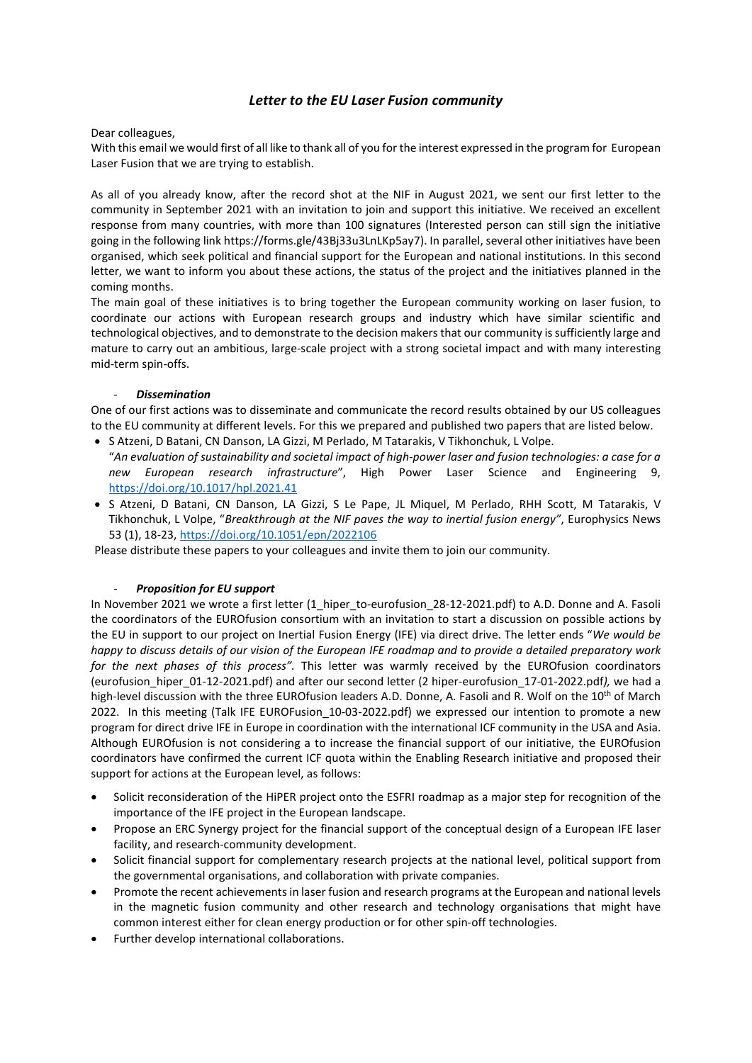# Letter to the EU Laser Fusion community

Dear colleagues,

With this email we would first of all like to thank all of you for the interest expressed in the program for European Laser Fusion that we are trying to establish.

As all of you already know, after the record shot at the NIF in August 2021, we sent our first letter to the community in September 2021 with an invitation to join and support this initiative. We received an excellent response from many countries, with more than 100 signatures (Interested person can still sign the initiative going in the following link https://forms.gle/43Bj33u3LnLKp5ay7). In parallel, several other initiatives have been organised, which seek political and financial support for the European and national institutions. In this second letter, we want to inform you about these actions, the status of the project and the initiatives planned in the coming months.

The main goal of these initiatives is to bring together the European community working on laser fusion, to coordinate our actions with European research groups and industry which have similar scientific and technological objectives, and to demonstrate to the decision makers that our community is sufficiently large and mature to carry out an ambitious, large-scale project with a strong societal impact and with many interesting mid-term spin-offs.

## **Dissemination**

One of our first actions was to disseminate and communicate the record results obtained by our US colleagues to the EU community at different levels. For this we prepared and published two papers that are listed below.

- S Atzeni, D Batani, CN Danson, LA Gizzi, M Perlado, M Tatarakis, V Tikhonchuk, L Volpe. "An evaluation of sustainability and societal impact of high-power laser and fusion technologies: a case for a new European research infrastructure", High Power Laser Science and Engineering 9, https://doi.org/10.1017/hpl.2021.41
- · S Atzeni, D Batani, CN Danson, LA Gizzi, S Le Pape, JL Miquel, M Perlado, RHH Scott, M Tatarakis, V Tikhonchuk, L Volpe, "Breakthrough at the NIF paves the way to inertial fusion energy", Europhysics News 53 (1), 18-23, https://doi.org/10.1051/epn/2022106

Please distribute these papers to your colleagues and invite them to join our community.

# Proposition for EU support

In November 2021 we wrote a first letter (1 hiper to-eurofusion 28-12-2021.pdf) to A.D. Donne and A. Fasoli the coordinators of the EUROfusion consortium with an invitation to start a discussion on possible actions by the EU in support to our project on Inertial Fusion Energy (IFE) via direct drive. The letter ends "We would be happy to discuss details of our vision of the European IFE roadmap and to provide a detailed preparatory work for the next phases of this process". This letter was warmly received by the EUROfusion coordinators (eurofusion\_hiper\_01-12-2021.pdf) and after our second letter (2 hiper-eurofusion\_17-01-2022.pdf), we had a high-level discussion with the three EUROfusion leaders A.D. Donne, A. Fasoli and R. Wolf on the 10<sup>th</sup> of March 2022. In this meeting (Talk IFE EUROFusion 10-03-2022.pdf) we expressed our intention to promote a new program for direct drive IFE in Europe in coordination with the international ICF community in the USA and Asia. Although EUROfusion is not considering a to increase the financial support of our initiative, the EUROfusion coordinators have confirmed the current ICF quota within the Enabling Research initiative and proposed their support for actions at the European level, as follows:

- Solicit reconsideration of the HiPER project onto the ESFRI roadmap as a major step for recognition of the importance of the IFE project in the European landscape.
- Propose an ERC Synergy project for the financial support of the conceptual design of a European IFE laser facility, and research-community development.
- Solicit financial support for complementary research projects at the national level, political support from the governmental organisations, and collaboration with private companies.
- Promote the recent achievements in laser fusion and research programs at the European and national levels in the magnetic fusion community and other research and technology organisations that might have common interest either for clean energy production or for other spin-off technologies.
- Further develop international collaborations.